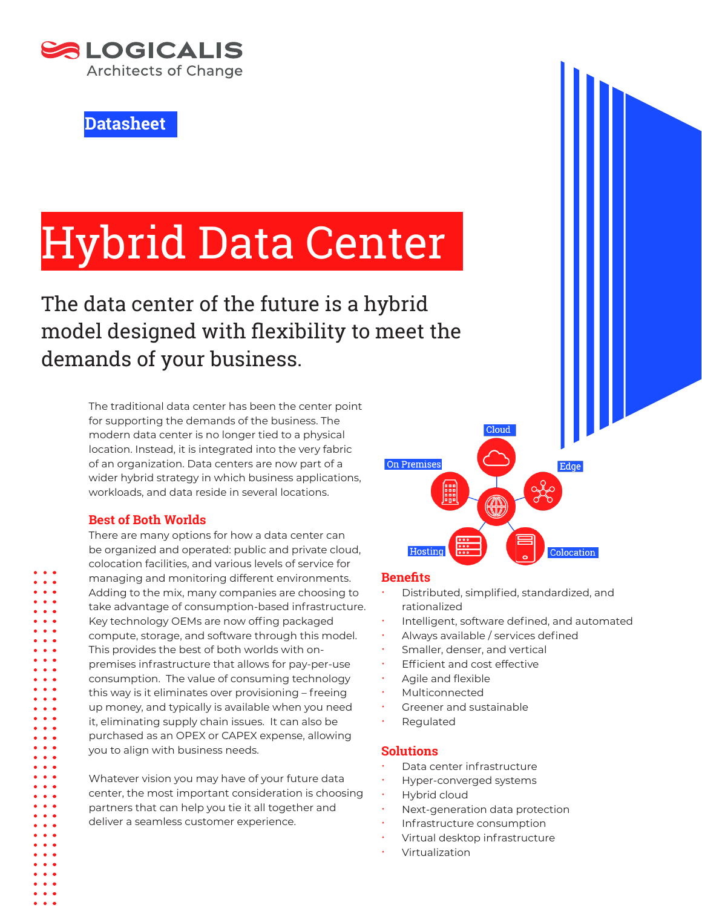

**Datasheet**

# Hybrid Data Center

# The data center of the future is a hybrid model designed with flexibility to meet the demands of your business.

The traditional data center has been the center point for supporting the demands of the business. The modern data center is no longer tied to a physical location. Instead, it is integrated into the very fabric of an organization. Data centers are now part of a wider hybrid strategy in which business applications, workloads, and data reside in several locations.

# **Best of Both Worlds**

There are many options for how a data center can be organized and operated: public and private cloud, colocation facilities, and various levels of service for managing and monitoring different environments. Adding to the mix, many companies are choosing to take advantage of consumption-based infrastructure. Key technology OEMs are now offing packaged compute, storage, and software through this model. This provides the best of both worlds with onpremises infrastructure that allows for pay-per-use consumption. The value of consuming technology this way is it eliminates over provisioning – freeing up money, and typically is available when you need it, eliminating supply chain issues. It can also be purchased as an OPEX or CAPEX expense, allowing you to align with business needs.

Whatever vision you may have of your future data center, the most important consideration is choosing partners that can help you tie it all together and deliver a seamless customer experience.



#### **Benefits**

- Distributed, simplified, standardized, and rationalized
- Intelligent, software defined, and automated
- Always available / services defined
- Smaller, denser, and vertical
- Efficient and cost effective
- Agile and flexible
- **Multiconnected**
- Greener and sustainable
- Regulated

#### **Solutions**

- Data center infrastructure
- Hyper-converged systems
- Hybrid cloud
- Next-generation data protection
- Infrastructure consumption
- Virtual desktop infrastructure
- **Virtualization**